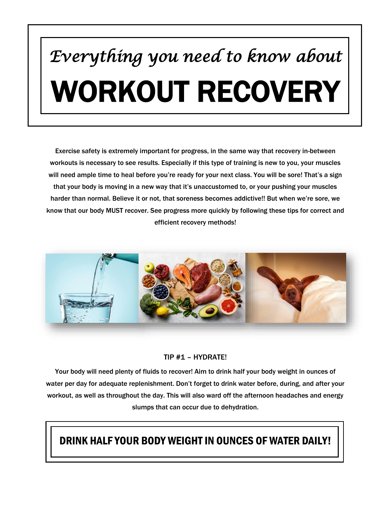# *Everything you need to know about*  WORKOUT RECOVERY

Exercise safety is extremely important for progress, in the same way that recovery in-between workouts is necessary to see results. Especially if this type of training is new to you, your muscles will need ample time to heal before you're ready for your next class. You will be sore! That's a sign that your body is moving in a new way that it's unaccustomed to, or your pushing your muscles harder than normal. Believe it or not, that soreness becomes addictive!! But when we're sore, we know that our body MUST recover. See progress more quickly by following these tips for correct and efficient recovery methods!



#### TIP #1 – HYDRATE!

Your body will need plenty of fluids to recover! Aim to drink half your body weight in ounces of water per day for adequate replenishment. Don't forget to drink water before, during, and after your workout, as well as throughout the day. This will also ward off the afternoon headaches and energy slumps that can occur due to dehydration.

#### DRINK HALF YOUR BODY WEIGHT IN OUNCES OF WATER DAILY!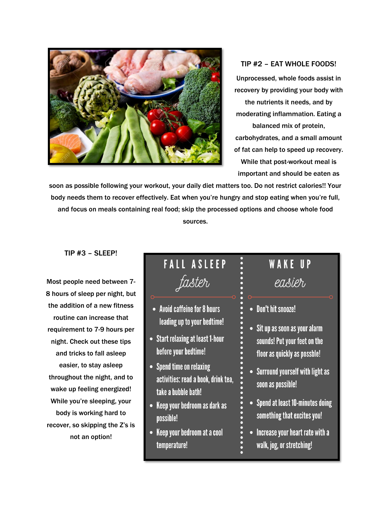

#### TIP #2 – EAT WHOLE FOODS! Unprocessed, whole foods assist in recovery by providing your body with the nutrients it needs, and by moderating inflammation. Eating a balanced mix of protein, carbohydrates, and a small amount of fat can help to speed up recovery. While that post-workout meal is important and should be eaten as

soon as possible following your workout, your daily diet matters too. Do not restrict calories!! Your body needs them to recover effectively. Eat when you're hungry and stop eating when you're full, and focus on meals containing real food; skip the processed options and choose whole food sources.

TIP #3 – SLEEP!

Most people need between 7- 8 hours of sleep per night, but the addition of a new fitness routine can increase that requirement to 7-9 hours per night. Check out these tips and tricks to fall asleep easier, to stay asleep throughout the night, and to wake up feeling energized! While you're sleeping, your body is working hard to recover, so skipping the Z's is not an option!

## **FALL ASLEEP** faster

- Avoid caffeine for 8 hours leading up to your bedtime!
- Start relaxing at least 1-hour before your bedtime!
- Spend time on relaxing activities: read a book, drink tea, take a bubble bath!
- Keep your bedroom as dark as possible!
- Keep your bedroom at a cool temperature!

## **WAKE UP** easier

- Don't hit snooze!
- Sit up as soon as your alarm sounds! Put your feet on the floor as quickly as possble!
- Surround yourself with light as soon as possible!
- Spend at least 10-minutes doing something that excites you!
- Increase your heart rate with a walk, jog, or stretching!